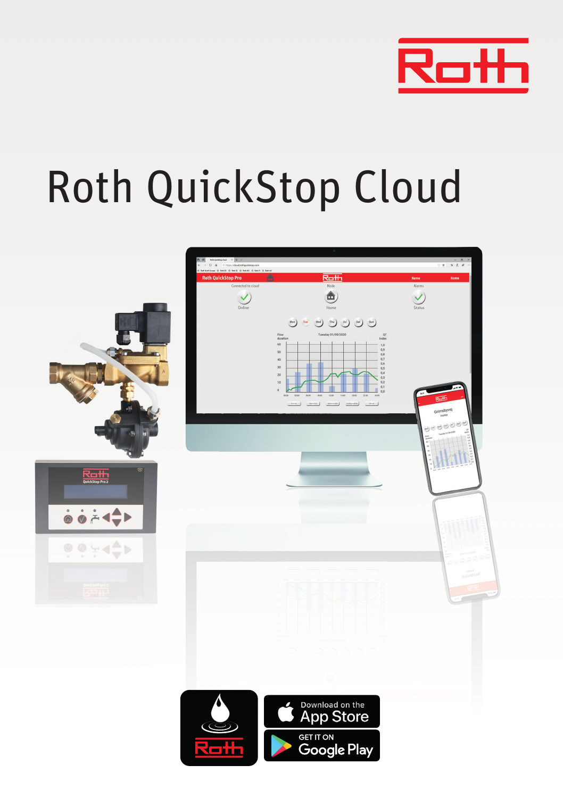

# Roth QuickStop Cloud

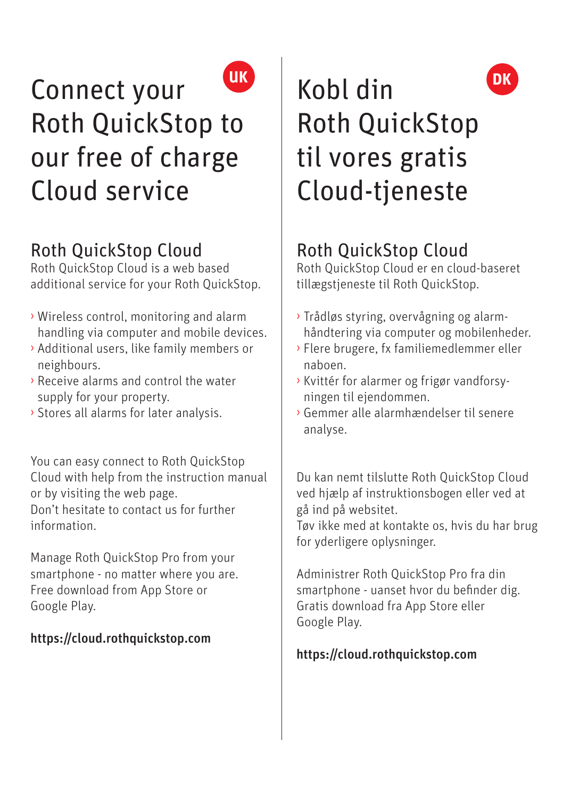# Connect your Roth QuickStop to our free of charge Cloud service

### Roth QuickStop Cloud

Roth QuickStop Cloud is a web based additional service for your Roth QuickStop.

- › Wireless control, monitoring and alarm handling via computer and mobile devices.
- › Additional users, like family members or neighbours.
- › Receive alarms and control the water supply for your property.
- › Stores all alarms for later analysis.

You can easy connect to Roth QuickStop Cloud with help from the instruction manual or by visiting the web page. Don't hesitate to contact us for further information.

Manage Roth QuickStop Pro from your smartphone - no matter where you are. Free download from App Store or Google Play.

#### https://cloud.rothquickstop.com

# Kobl din **UK DK**Roth QuickStop til vores gratis Cloud-tjeneste

### Roth QuickStop Cloud

Roth QuickStop Cloud er en cloud-baseret tillægstjeneste til Roth QuickStop.

- › Trådløs styring, overvågning og alarm håndtering via computer og mobilenheder.
- › Flere brugere, fx familiemedlemmer eller naboen.
- › Kvittér for alarmer og frigør vandforsy ningen til ejendommen.
- › Gemmer alle alarmhændelser til senere analyse.

Du kan nemt tilslutte Roth QuickStop Cloud ved hjælp af instruktionsbogen eller ved at gå ind på websitet.

Tøv ikke med at kontakte os, hvis du har brug for yderligere oplysninger.

Administrer Roth QuickStop Pro fra din smartphone - uanset hvor du befinder dig. Gratis download fra App Store eller Google Play.

#### https://cloud.rothquickstop.com

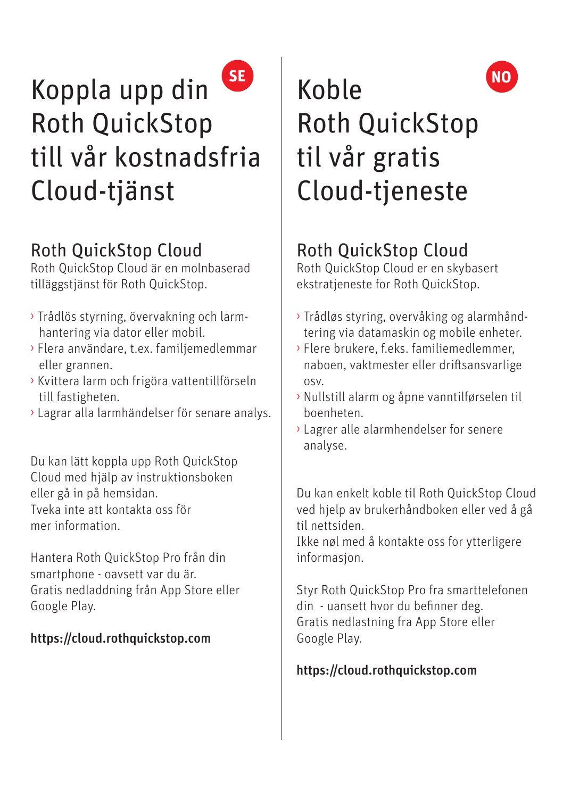# Koppla upp din Roth QuickStop till vår kostnadsfria Cloud-tjänst

### Roth QuickStop Cloud

Roth QuickStop Cloud är en molnbaserad tilläggstjänst för Roth QuickStop.

- › Trådlös styrning, övervakning och larmhantering via dator eller mobil.
- › Flera användare, t.ex. familjemedlemmar eller grannen.
- › Kvittera larm och frigöra vattentillförseln till fastigheten.
- › Lagrar alla larmhändelser för senare analys.

Du kan lätt koppla upp Roth QuickStop Cloud med hjälp av instruktionsboken eller gå in på hemsidan. Tveka inte att kontakta oss för mer information.

Hantera Roth QuickStop Pro från din smartphone - oavsett var du är. Gratis nedladdning från App Store eller Google Play.

#### https://cloud.rothquickstop.com

# **SE Koble NO** Roth QuickStop til vår gratis Cloud-tjeneste

### Roth QuickStop Cloud

Roth QuickStop Cloud er en skybasert ekstratjeneste for Roth QuickStop.

- › Trådløs styring, overvåking og alarmhånd tering via datamaskin og mobile enheter.
- › Flere brukere, f.eks. familiemedlemmer, naboen, vaktmester eller driftsansvarlige osv.
- › Nullstill alarm og åpne vanntilførselen til boenheten.
- › Lagrer alle alarmhendelser for senere analyse.

Du kan enkelt koble til Roth QuickStop Cloud ved hjelp av brukerhåndboken eller ved å gå til nettsiden.

Ikke nøl med å kontakte oss for ytterligere informasjon.

Styr Roth QuickStop Pro fra smarttelefonen din - uansett hvor du befinner deg. Gratis nedlastning fra App Store eller Google Play.

#### https://cloud.rothquickstop.com